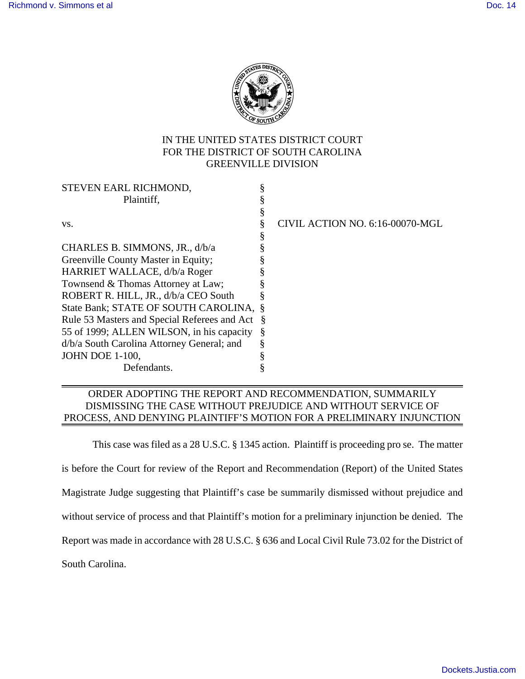

## IN THE UNITED STATES DISTRICT COURT FOR THE DISTRICT OF SOUTH CAROLINA GREENVILLE DIVISION

|                                                   | CIVIL ACTION NO. 6:16-00070-MGL |
|---------------------------------------------------|---------------------------------|
|                                                   |                                 |
|                                                   |                                 |
|                                                   |                                 |
|                                                   |                                 |
|                                                   |                                 |
|                                                   |                                 |
| State Bank; STATE OF SOUTH CAROLINA, §            |                                 |
| Rule 53 Masters and Special Referees and Act<br>Š |                                 |
| Š                                                 |                                 |
|                                                   |                                 |
|                                                   |                                 |
|                                                   |                                 |
|                                                   |                                 |

## ORDER ADOPTING THE REPORT AND RECOMMENDATION, SUMMARILY DISMISSING THE CASE WITHOUT PREJUDICE AND WITHOUT SERVICE OF PROCESS, AND DENYING PLAINTIFF'S MOTION FOR A PRELIMINARY INJUNCTION

This case was filed as a 28 U.S.C. § 1345 action. Plaintiff is proceeding pro se. The matter

is before the Court for review of the Report and Recommendation (Report) of the United States

Magistrate Judge suggesting that Plaintiff's case be summarily dismissed without prejudice and

without service of process and that Plaintiff's motion for a preliminary injunction be denied. The

Report was made in accordance with 28 U.S.C. § 636 and Local Civil Rule 73.02 for the District of

South Carolina.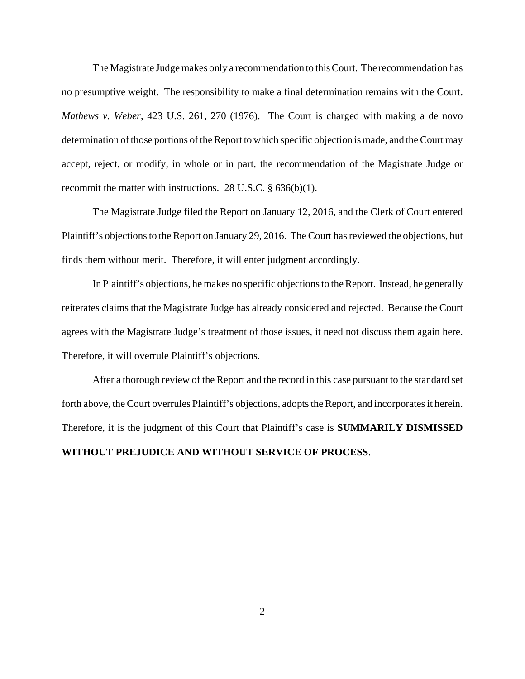The Magistrate Judge makes only a recommendation to this Court. The recommendation has no presumptive weight. The responsibility to make a final determination remains with the Court. *Mathews v. Weber*, 423 U.S. 261, 270 (1976). The Court is charged with making a de novo determination of those portions of the Report to which specific objection is made, and the Court may accept, reject, or modify, in whole or in part, the recommendation of the Magistrate Judge or recommit the matter with instructions. 28 U.S.C. § 636(b)(1).

The Magistrate Judge filed the Report on January 12, 2016, and the Clerk of Court entered Plaintiff's objections to the Report on January 29, 2016. The Court has reviewed the objections, but finds them without merit. Therefore, it will enter judgment accordingly.

In Plaintiff's objections, he makes no specific objections to the Report. Instead, he generally reiterates claims that the Magistrate Judge has already considered and rejected. Because the Court agrees with the Magistrate Judge's treatment of those issues, it need not discuss them again here. Therefore, it will overrule Plaintiff's objections.

After a thorough review of the Report and the record in this case pursuant to the standard set forth above, the Court overrules Plaintiff's objections, adopts the Report, and incorporates it herein. Therefore, it is the judgment of this Court that Plaintiff's case is **SUMMARILY DISMISSED WITHOUT PREJUDICE AND WITHOUT SERVICE OF PROCESS**.